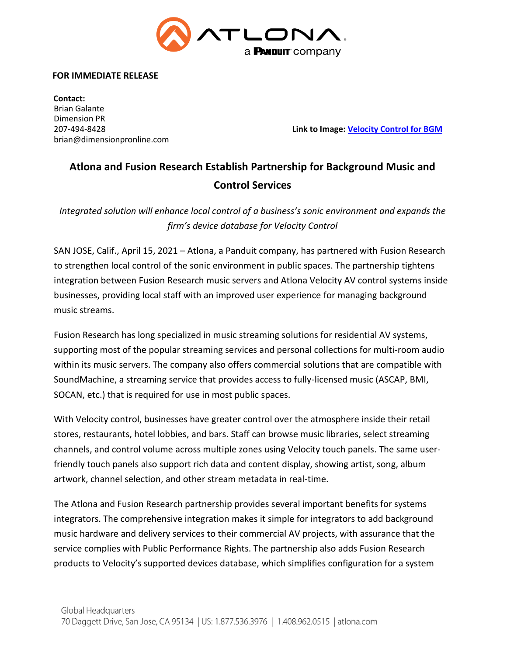

#### **FOR IMMEDIATE RELEASE**

 **Contact:** Brian Galante Dimension PR brian@dimensionpronline.com

207-494-8428 **Link to Image: [Velocity Control for BGM](https://atlonainc.box.com/s/2zg1wxzghubvwjpxbves4d18uoac2t2j)**

# **Atlona and Fusion Research Establish Partnership for Background Music and Control Services**

*Integrated solution will enhance local control of a business's sonic environment and expands the firm's device database for Velocity Control*

SAN JOSE, Calif., April 15, 2021 – Atlona, a Panduit company, has partnered with Fusion Research to strengthen local control of the sonic environment in public spaces. The partnership tightens integration between Fusion Research music servers and Atlona Velocity AV control systems inside businesses, providing local staff with an improved user experience for managing background music streams.

Fusion Research has long specialized in music streaming solutions for residential AV systems, supporting most of the popular streaming services and personal collections for multi-room audio within its music servers. The company also offers commercial solutions that are compatible with SoundMachine, a streaming service that provides access to fully-licensed music (ASCAP, BMI, SOCAN, etc.) that is required for use in most public spaces.

With Velocity control, businesses have greater control over the atmosphere inside their retail stores, restaurants, hotel lobbies, and bars. Staff can browse music libraries, select streaming channels, and control volume across multiple zones using Velocity touch panels. The same userfriendly touch panels also support rich data and content display, showing artist, song, album artwork, channel selection, and other stream metadata in real-time.

The Atlona and Fusion Research partnership provides several important benefits for systems integrators. The comprehensive integration makes it simple for integrators to add background music hardware and delivery services to their commercial AV projects, with assurance that the service complies with Public Performance Rights. The partnership also adds Fusion Research products to Velocity's supported devices database, which simplifies configuration for a system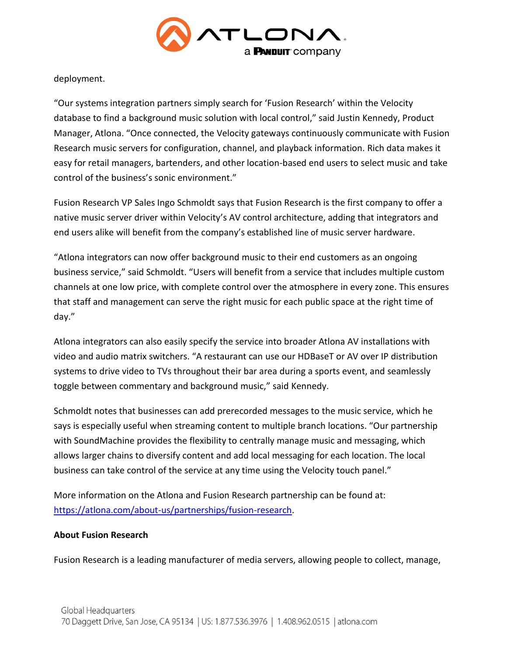

deployment.

"Our systems integration partners simply search for 'Fusion Research' within the Velocity database to find a background music solution with local control," said Justin Kennedy, Product Manager, Atlona. "Once connected, the Velocity gateways continuously communicate with Fusion Research music servers for configuration, channel, and playback information. Rich data makes it easy for retail managers, bartenders, and other location-based end users to select music and take control of the business's sonic environment."

Fusion Research VP Sales Ingo Schmoldt says that Fusion Research is the first company to offer a native music server driver within Velocity's AV control architecture, adding that integrators and end users alike will benefit from the company's established line of music server hardware.

"Atlona integrators can now offer background music to their end customers as an ongoing business service," said Schmoldt. "Users will benefit from a service that includes multiple custom channels at one low price, with complete control over the atmosphere in every zone. This ensures that staff and management can serve the right music for each public space at the right time of day."

Atlona integrators can also easily specify the service into broader Atlona AV installations with video and audio matrix switchers. "A restaurant can use our HDBaseT or AV over IP distribution systems to drive video to TVs throughout their bar area during a sports event, and seamlessly toggle between commentary and background music," said Kennedy.

Schmoldt notes that businesses can add prerecorded messages to the music service, which he says is especially useful when streaming content to multiple branch locations. "Our partnership with SoundMachine provides the flexibility to centrally manage music and messaging, which allows larger chains to diversify content and add local messaging for each location. The local business can take control of the service at any time using the Velocity touch panel."

More information on the Atlona and Fusion Research partnership can be found at: [https://atlona.com/about-us/partnerships/fusion-research.](https://atlona.com/about-us/partnerships/fusion-research)

# **About Fusion Research**

Fusion Research is a leading manufacturer of media servers, allowing people to collect, manage,